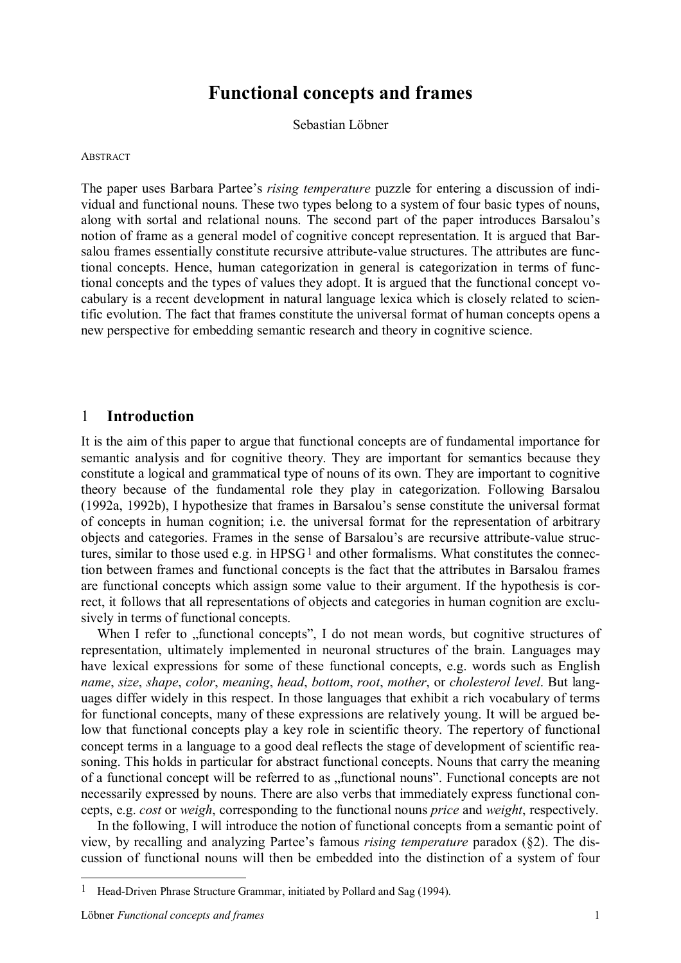# **Functional concepts and frames**

Sebastian Löbner

#### **ABSTRACT**

The paper uses Barbara Partee's *rising temperature* puzzle for entering a discussion of individual and functional nouns. These two types belong to a system of four basic types of nouns, along with sortal and relational nouns. The second part of the paper introduces Barsalou's notion of frame as a general model of cognitive concept representation. It is argued that Barsalou frames essentially constitute recursive attribute-value structures. The attributes are functional concepts. Hence, human categorization in general is categorization in terms of functional concepts and the types of values they adopt. It is argued that the functional concept vocabulary is a recent development in natural language lexica which is closely related to scientific evolution. The fact that frames constitute the universal format of human concepts opens a new perspective for embedding semantic research and theory in cognitive science.

#### 1 **Introduction**

It is the aim of this paper to argue that functional concepts are of fundamental importance for semantic analysis and for cognitive theory. They are important for semantics because they constitute a logical and grammatical type of nouns of its own. They are important to cognitive theory because of the fundamental role they play in categorization. Following Barsalou (1992a, 1992b), I hypothesize that frames in Barsalou's sense constitute the universal format of concepts in human cognition; i.e. the universal format for the representation of arbitrary objects and categories. Frames in the sense of Barsalou's are recursive attribute-value structures, similar to those used e.g. in  $HPSG<sup>1</sup>$  and other formalisms. What constitutes the connection between frames and functional concepts is the fact that the attributes in Barsalou frames are functional concepts which assign some value to their argument. If the hypothesis is correct, it follows that all representations of objects and categories in human cognition are exclusively in terms of functional concepts.

When I refer to "functional concepts", I do not mean words, but cognitive structures of representation, ultimately implemented in neuronal structures of the brain. Languages may have lexical expressions for some of these functional concepts, e.g. words such as English *name*, *size*, *shape*, *color*, *meaning*, *head*, *bottom*, *root*, *mother*, or *cholesterol level*. But languages differ widely in this respect. In those languages that exhibit a rich vocabulary of terms for functional concepts, many of these expressions are relatively young. It will be argued below that functional concepts play a key role in scientific theory. The repertory of functional concept terms in a language to a good deal reflects the stage of development of scientific reasoning. This holds in particular for abstract functional concepts. Nouns that carry the meaning of a functional concept will be referred to as "functional nouns". Functional concepts are not necessarily expressed by nouns. There are also verbs that immediately express functional concepts, e.g. *cost* or *weigh*, corresponding to the functional nouns *price* and *weight*, respectively.

In the following, I will introduce the notion of functional concepts from a semantic point of view, by recalling and analyzing Partee's famous *rising temperature* paradox (§2). The discussion of functional nouns will then be embedded into the distinction of a system of four

<sup>&</sup>lt;sup>1</sup> Head-Driven Phrase Structure Grammar, initiated by Pollard and Sag (1994).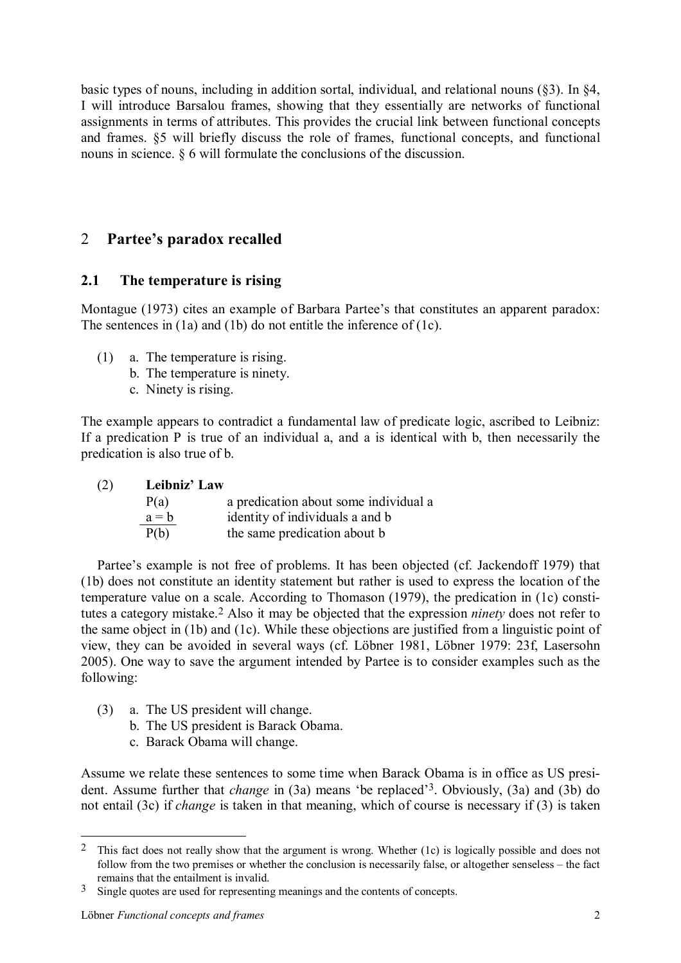basic types of nouns, including in addition sortal, individual, and relational nouns (§3). In §4, I will introduce Barsalou frames, showing that they essentially are networks of functional assignments in terms of attributes. This provides the crucial link between functional concepts and frames. §5 will briefly discuss the role of frames, functional concepts, and functional nouns in science. § 6 will formulate the conclusions of the discussion.

# 2 **Partee's paradox recalled**

# **2.1 The temperature is rising**

Montague (1973) cites an example of Barbara Partee's that constitutes an apparent paradox: The sentences in (1a) and (1b) do not entitle the inference of (1c).

- (1) a. The temperature is rising.
	- b. The temperature is ninety.
	- c. Ninety is rising.

The example appears to contradict a fundamental law of predicate logic, ascribed to Leibniz: If a predication P is true of an individual a, and a is identical with b, then necessarily the predication is also true of b.

| (2) | Leibniz' Law |                                       |  |  |
|-----|--------------|---------------------------------------|--|--|
|     | P(a)         | a predication about some individual a |  |  |
|     | $a = b$      | identity of individuals a and b       |  |  |
|     | P(b)         | the same predication about b          |  |  |

Partee's example is not free of problems. It has been objected (cf. Jackendoff 1979) that (1b) does not constitute an identity statement but rather is used to express the location of the temperature value on a scale. According to Thomason (1979), the predication in (1c) constitutes a category mistake.2 Also it may be objected that the expression *ninety* does not refer to the same object in (1b) and (1c). While these objections are justified from a linguistic point of view, they can be avoided in several ways (cf. Löbner 1981, Löbner 1979: 23f, Lasersohn 2005). One way to save the argument intended by Partee is to consider examples such as the following:

- (3) a. The US president will change.
	- b. The US president is Barack Obama.
	- c. Barack Obama will change.

Assume we relate these sentences to some time when Barack Obama is in office as US president. Assume further that *change* in (3a) means 'be replaced'3. Obviously, (3a) and (3b) do not entail (3c) if *change* is taken in that meaning, which of course is necessary if (3) is taken

<sup>&</sup>lt;sup>2</sup> This fact does not really show that the argument is wrong. Whether (1c) is logically possible and does not follow from the two premises or whether the conclusion is necessarily false, or altogether senseless – the fact remains that the entailment is invalid.

<sup>&</sup>lt;sup>3</sup> Single quotes are used for representing meanings and the contents of concepts.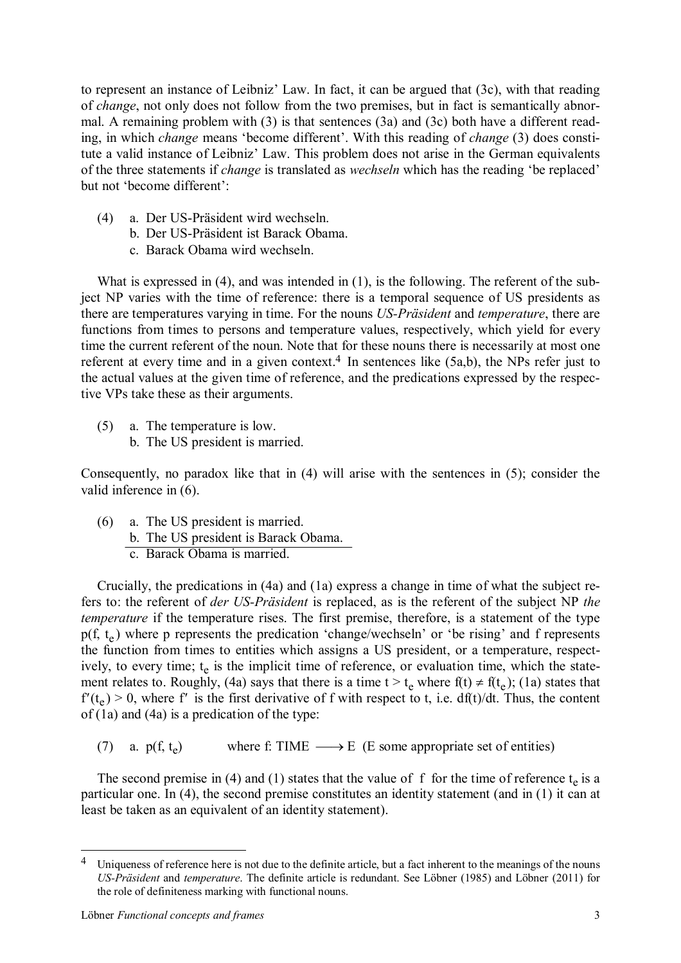to represent an instance of Leibniz' Law. In fact, it can be argued that (3c), with that reading of *change*, not only does not follow from the two premises, but in fact is semantically abnormal. A remaining problem with (3) is that sentences (3a) and (3c) both have a different reading, in which *change* means 'become different'. With this reading of *change* (3) does constitute a valid instance of Leibniz' Law. This problem does not arise in the German equivalents of the three statements if *change* is translated as *wechseln* which has the reading 'be replaced' but not 'become different':

- (4) a. Der US-Präsident wird wechseln.
	- b. Der US-Präsident ist Barack Obama.
	- c. Barack Obama wird wechseln.

What is expressed in (4), and was intended in (1), is the following. The referent of the subject NP varies with the time of reference: there is a temporal sequence of US presidents as there are temperatures varying in time. For the nouns *US-Präsident* and *temperature*, there are functions from times to persons and temperature values, respectively, which yield for every time the current referent of the noun. Note that for these nouns there is necessarily at most one referent at every time and in a given context.<sup>4</sup> In sentences like (5a,b), the NPs refer just to the actual values at the given time of reference, and the predications expressed by the respective VPs take these as their arguments.

- (5) a. The temperature is low.
	- b. The US president is married.

Consequently, no paradox like that in (4) will arise with the sentences in (5); consider the valid inference in (6).

(6) a. The US president is married. b. The US president is Barack Obama. c. Barack Obama is married.

Crucially, the predications in (4a) and (1a) express a change in time of what the subject refers to: the referent of *der US-Präsident* is replaced, as is the referent of the subject NP *the temperature* if the temperature rises. The first premise, therefore, is a statement of the type  $p(f, t_e)$  where p represents the predication 'change/wechseln' or 'be rising' and f represents the function from times to entities which assigns a US president, or a temperature, respectively, to every time; t<sub>e</sub> is the implicit time of reference, or evaluation time, which the statement relates to. Roughly, (4a) says that there is a time  $t > t_e$  where  $f(t) \neq f(t_e)$ ; (1a) states that  $f'(t_e) > 0$ , where f' is the first derivative of f with respect to t, i.e. df(t)/dt. Thus, the content of (1a) and (4a) is a predication of the type:

(7) a.  $p(f, t_a)$ where f: TIME  $\longrightarrow$  E (E some appropriate set of entities)

The second premise in (4) and (1) states that the value of f for the time of reference  $t_e$  is a particular one. In (4), the second premise constitutes an identity statement (and in (1) it can at least be taken as an equivalent of an identity statement).

<sup>4</sup> Uniqueness of reference here is not due to the definite article, but a fact inherent to the meanings of the nouns *US-Präsident* and *temperature*. The definite article is redundant. See Löbner (1985) and Löbner (2011) for the role of definiteness marking with functional nouns.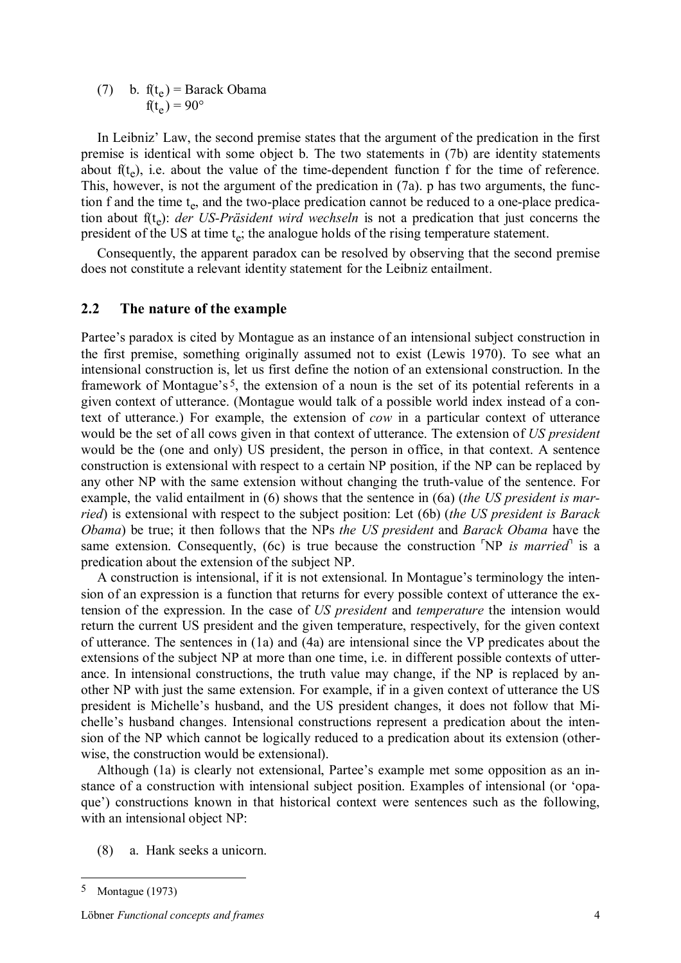(7) b.  $f(t_e) =$  Barack Obama  $f(t_e) = 90^{\circ}$ 

In Leibniz' Law, the second premise states that the argument of the predication in the first premise is identical with some object b. The two statements in (7b) are identity statements about  $f(t_e)$ , i.e. about the value of the time-dependent function f for the time of reference. This, however, is not the argument of the predication in (7a). p has two arguments, the function f and the time  $t_e$ , and the two-place predication cannot be reduced to a one-place predication about f(t<sub>e</sub>): *der US-Präsident wird wechseln* is not a predication that just concerns the president of the US at time  $t_e$ ; the analogue holds of the rising temperature statement.

Consequently, the apparent paradox can be resolved by observing that the second premise does not constitute a relevant identity statement for the Leibniz entailment.

#### **2.2 The nature of the example**

Partee's paradox is cited by Montague as an instance of an intensional subject construction in the first premise, something originally assumed not to exist (Lewis 1970). To see what an intensional construction is, let us first define the notion of an extensional construction. In the framework of Montague's<sup>5</sup>, the extension of a noun is the set of its potential referents in a given context of utterance. (Montague would talk of a possible world index instead of a context of utterance.) For example, the extension of *cow* in a particular context of utterance would be the set of all cows given in that context of utterance. The extension of *US president* would be the (one and only) US president, the person in office, in that context. A sentence construction is extensional with respect to a certain NP position, if the NP can be replaced by any other NP with the same extension without changing the truth-value of the sentence. For example, the valid entailment in (6) shows that the sentence in (6a) (*the US president is married*) is extensional with respect to the subject position: Let (6b) (*the US president is Barack Obama*) be true; it then follows that the NPs *the US president* and *Barack Obama* have the same extension. Consequently, (6c) is true because the construction  $\Delta P$  *is married*<sup> $\Delta$ </sup> is a predication about the extension of the subject NP.

A construction is intensional, if it is not extensional. In Montague's terminology the intension of an expression is a function that returns for every possible context of utterance the extension of the expression. In the case of *US president* and *temperature* the intension would return the current US president and the given temperature, respectively, for the given context of utterance. The sentences in (1a) and (4a) are intensional since the VP predicates about the extensions of the subject NP at more than one time, i.e. in different possible contexts of utterance. In intensional constructions, the truth value may change, if the NP is replaced by another NP with just the same extension. For example, if in a given context of utterance the US president is Michelle's husband, and the US president changes, it does not follow that Michelle's husband changes. Intensional constructions represent a predication about the intension of the NP which cannot be logically reduced to a predication about its extension (otherwise, the construction would be extensional).

Although (1a) is clearly not extensional, Partee's example met some opposition as an instance of a construction with intensional subject position. Examples of intensional (or 'opaque') constructions known in that historical context were sentences such as the following, with an intensional object NP:

(8) a. Hank seeks a unicorn.

<sup>5</sup> Montague (1973)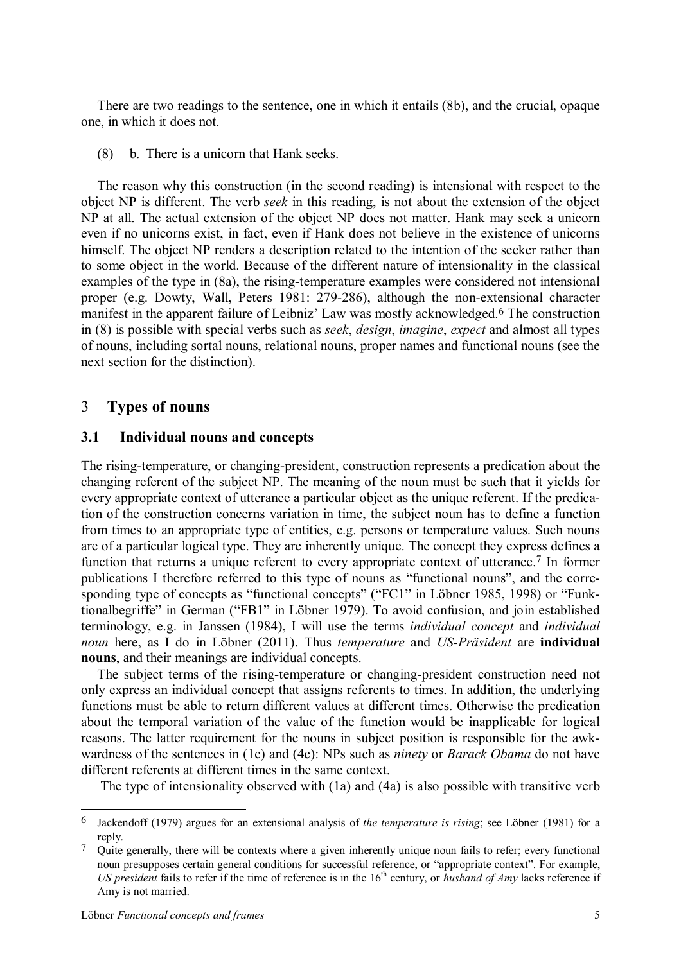There are two readings to the sentence, one in which it entails (8b), and the crucial, opaque one, in which it does not.

(8) b. There is a unicorn that Hank seeks.

The reason why this construction (in the second reading) is intensional with respect to the object NP is different. The verb *seek* in this reading, is not about the extension of the object NP at all. The actual extension of the object NP does not matter. Hank may seek a unicorn even if no unicorns exist, in fact, even if Hank does not believe in the existence of unicorns himself. The object NP renders a description related to the intention of the seeker rather than to some object in the world. Because of the different nature of intensionality in the classical examples of the type in (8a), the rising-temperature examples were considered not intensional proper (e.g. Dowty, Wall, Peters 1981: 279-286), although the non-extensional character manifest in the apparent failure of Leibniz' Law was mostly acknowledged.6 The construction in (8) is possible with special verbs such as *seek*, *design*, *imagine*, *expect* and almost all types of nouns, including sortal nouns, relational nouns, proper names and functional nouns (see the next section for the distinction).

#### 3 **Types of nouns**

#### **3.1 Individual nouns and concepts**

The rising-temperature, or changing-president, construction represents a predication about the changing referent of the subject NP. The meaning of the noun must be such that it yields for every appropriate context of utterance a particular object as the unique referent. If the predication of the construction concerns variation in time, the subject noun has to define a function from times to an appropriate type of entities, e.g. persons or temperature values. Such nouns are of a particular logical type. They are inherently unique. The concept they express defines a function that returns a unique referent to every appropriate context of utterance.<sup>7</sup> In former publications I therefore referred to this type of nouns as "functional nouns", and the corresponding type of concepts as "functional concepts" ("FC1" in Löbner 1985, 1998) or "Funktionalbegriffe" in German ("FB1" in Löbner 1979). To avoid confusion, and join established terminology, e.g. in Janssen (1984), I will use the terms *individual concept* and *individual noun* here, as I do in Löbner (2011). Thus *temperature* and *US-Präsident* are **individual nouns**, and their meanings are individual concepts.

The subject terms of the rising-temperature or changing-president construction need not only express an individual concept that assigns referents to times. In addition, the underlying functions must be able to return different values at different times. Otherwise the predication about the temporal variation of the value of the function would be inapplicable for logical reasons. The latter requirement for the nouns in subject position is responsible for the awkwardness of the sentences in (1c) and (4c): NPs such as *ninety* or *Barack Obama* do not have different referents at different times in the same context.

The type of intensionality observed with (1a) and (4a) is also possible with transitive verb

<sup>6</sup> Jackendoff (1979) argues for an extensional analysis of *the temperature is rising*; see Löbner (1981) for a reply.

<sup>7</sup> Quite generally, there will be contexts where a given inherently unique noun fails to refer; every functional noun presupposes certain general conditions for successful reference, or "appropriate context". For example, *US* president fails to refer if the time of reference is in the  $16<sup>th</sup>$  century, or *husband* of *Amy* lacks reference if Amy is not married.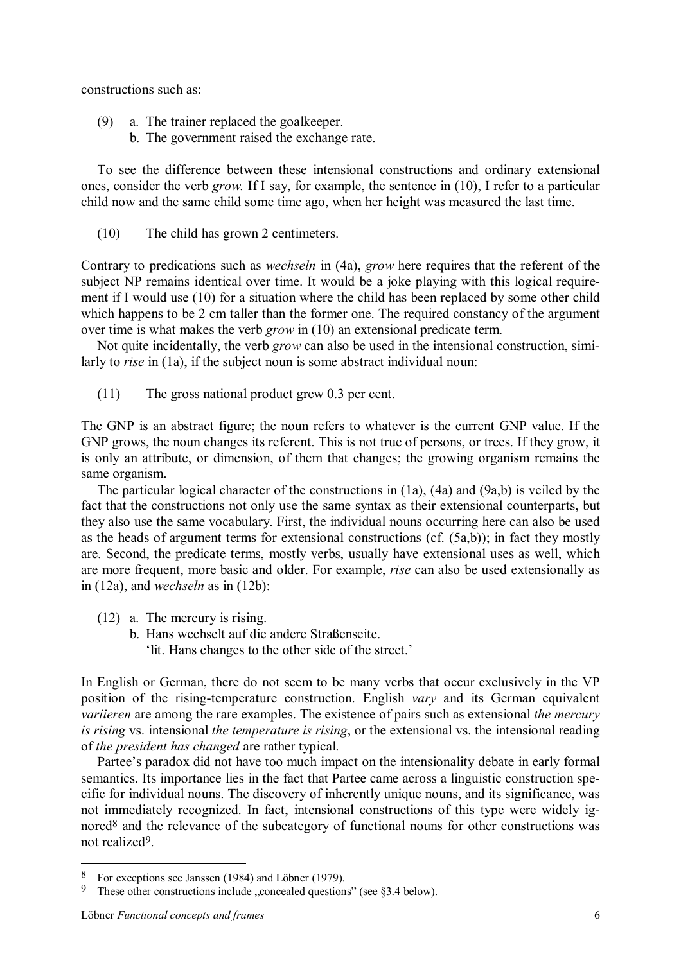constructions such as:

- (9) a. The trainer replaced the goalkeeper.
	- b. The government raised the exchange rate.

To see the difference between these intensional constructions and ordinary extensional ones, consider the verb *grow.* If I say, for example, the sentence in (10), I refer to a particular child now and the same child some time ago, when her height was measured the last time.

(10) The child has grown 2 centimeters.

Contrary to predications such as *wechseln* in (4a), *grow* here requires that the referent of the subject NP remains identical over time. It would be a joke playing with this logical requirement if I would use (10) for a situation where the child has been replaced by some other child which happens to be 2 cm taller than the former one. The required constancy of the argument over time is what makes the verb *grow* in (10) an extensional predicate term.

Not quite incidentally, the verb *grow* can also be used in the intensional construction, similarly to *rise* in (1a), if the subject noun is some abstract individual noun:

(11) The gross national product grew 0.3 per cent.

The GNP is an abstract figure; the noun refers to whatever is the current GNP value. If the GNP grows, the noun changes its referent. This is not true of persons, or trees. If they grow, it is only an attribute, or dimension, of them that changes; the growing organism remains the same organism.

The particular logical character of the constructions in (1a), (4a) and (9a,b) is veiled by the fact that the constructions not only use the same syntax as their extensional counterparts, but they also use the same vocabulary. First, the individual nouns occurring here can also be used as the heads of argument terms for extensional constructions (cf. (5a,b)); in fact they mostly are. Second, the predicate terms, mostly verbs, usually have extensional uses as well, which are more frequent, more basic and older. For example, *rise* can also be used extensionally as in (12a), and *wechseln* as in (12b):

- (12) a. The mercury is rising.
	- b. Hans wechselt auf die andere Straßenseite.
		- 'lit. Hans changes to the other side of the street.'

In English or German, there do not seem to be many verbs that occur exclusively in the VP position of the rising-temperature construction. English *vary* and its German equivalent *variieren* are among the rare examples. The existence of pairs such as extensional *the mercury is rising* vs. intensional *the temperature is rising*, or the extensional vs. the intensional reading of *the president has changed* are rather typical.

Partee's paradox did not have too much impact on the intensionality debate in early formal semantics. Its importance lies in the fact that Partee came across a linguistic construction specific for individual nouns. The discovery of inherently unique nouns, and its significance, was not immediately recognized. In fact, intensional constructions of this type were widely ignored<sup>8</sup> and the relevance of the subcategory of functional nouns for other constructions was not realized9.

 $\frac{8}{9}$  For exceptions see Janssen (1984) and Löbner (1979).<br>9 These other constructions include concealed question

These other constructions include  $\alpha$  concealed questions" (see §3.4 below).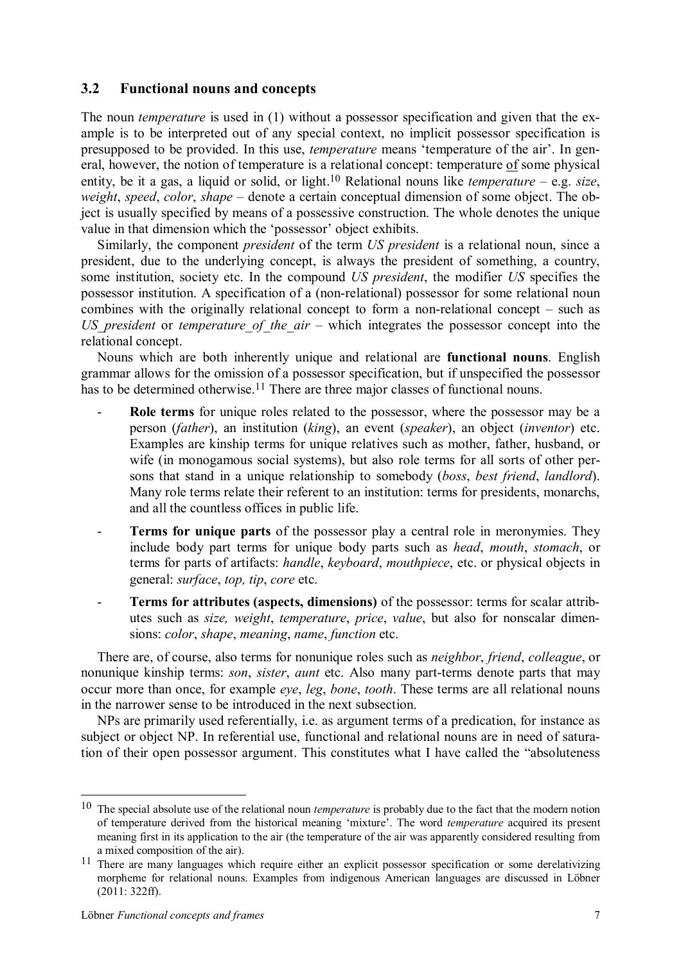## **3.2 Functional nouns and concepts**

The noun *temperature* is used in (1) without a possessor specification and given that the example is to be interpreted out of any special context, no implicit possessor specification is presupposed to be provided. In this use, *temperature* means 'temperature of the air'. In general, however, the notion of temperature is a relational concept: temperature of some physical entity, be it a gas, a liquid or solid, or light.10 Relational nouns like *temperature* – e.g. *size*, *weight*, *speed*, *color*, *shape* – denote a certain conceptual dimension of some object. The object is usually specified by means of a possessive construction. The whole denotes the unique value in that dimension which the 'possessor' object exhibits.

Similarly, the component *president* of the term *US president* is a relational noun, since a president, due to the underlying concept, is always the president of something, a country, some institution, society etc. In the compound *US president*, the modifier *US* specifies the possessor institution. A specification of a (non-relational) possessor for some relational noun combines with the originally relational concept to form a non-relational concept – such as *US\_president* or *temperature\_of\_the\_air* – which integrates the possessor concept into the relational concept.

Nouns which are both inherently unique and relational are **functional nouns**. English grammar allows for the omission of a possessor specification, but if unspecified the possessor has to be determined otherwise.<sup>11</sup> There are three major classes of functional nouns.

- Role terms for unique roles related to the possessor, where the possessor may be a person (*father*), an institution (*king*), an event (*speaker*), an object (*inventor*) etc. Examples are kinship terms for unique relatives such as mother, father, husband, or wife (in monogamous social systems), but also role terms for all sorts of other persons that stand in a unique relationship to somebody (*boss*, *best friend*, *landlord*). Many role terms relate their referent to an institution: terms for presidents, monarchs, and all the countless offices in public life.
- **Terms for unique parts** of the possessor play a central role in meronymies. They include body part terms for unique body parts such as *head*, *mouth*, *stomach*, or terms for parts of artifacts: *handle*, *keyboard*, *mouthpiece*, etc. or physical objects in general: *surface*, *top, tip*, *core* etc.
- **Terms for attributes (aspects, dimensions)** of the possessor: terms for scalar attributes such as *size, weight*, *temperature*, *price*, *value*, but also for nonscalar dimensions: *color*, *shape*, *meaning*, *name*, *function* etc.

There are, of course, also terms for nonunique roles such as *neighbor*, *friend*, *colleague*, or nonunique kinship terms: *son*, *sister*, *aunt* etc. Also many part-terms denote parts that may occur more than once, for example *eye*, *leg*, *bone*, *tooth*. These terms are all relational nouns in the narrower sense to be introduced in the next subsection.

NPs are primarily used referentially, i.e. as argument terms of a predication, for instance as subject or object NP. In referential use, functional and relational nouns are in need of saturation of their open possessor argument. This constitutes what I have called the "absoluteness

<sup>10</sup> The special absolute use of the relational noun *temperature* is probably due to the fact that the modern notion of temperature derived from the historical meaning 'mixture'. The word *temperature* acquired its present meaning first in its application to the air (the temperature of the air was apparently considered resulting from a mixed composition of the air).

<sup>&</sup>lt;sup>11</sup> There are many languages which require either an explicit possessor specification or some derelativizing morpheme for relational nouns. Examples from indigenous American languages are discussed in Löbner (2011: 322ff).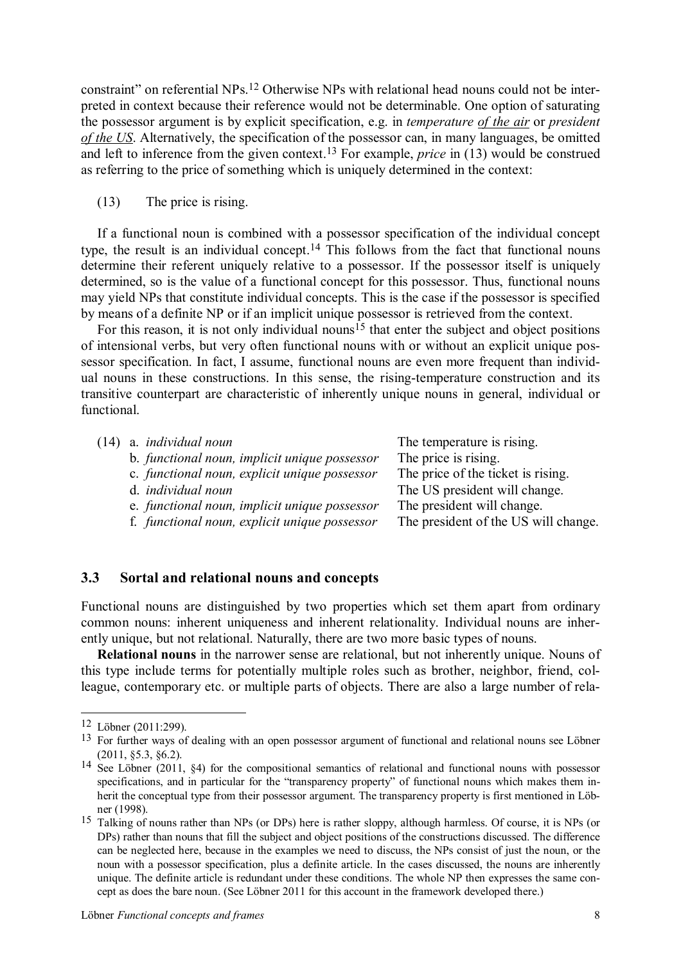constraint" on referential NPs.12 Otherwise NPs with relational head nouns could not be interpreted in context because their reference would not be determinable. One option of saturating the possessor argument is by explicit specification, e.g. in *temperature of the air* or *president of the US*. Alternatively, the specification of the possessor can, in many languages, be omitted and left to inference from the given context.13 For example, *price* in (13) would be construed as referring to the price of something which is uniquely determined in the context:

(13) The price is rising.

If a functional noun is combined with a possessor specification of the individual concept type, the result is an individual concept.14 This follows from the fact that functional nouns determine their referent uniquely relative to a possessor. If the possessor itself is uniquely determined, so is the value of a functional concept for this possessor. Thus, functional nouns may yield NPs that constitute individual concepts. This is the case if the possessor is specified by means of a definite NP or if an implicit unique possessor is retrieved from the context.

For this reason, it is not only individual nouns<sup>15</sup> that enter the subject and object positions of intensional verbs, but very often functional nouns with or without an explicit unique possessor specification. In fact, I assume, functional nouns are even more frequent than individual nouns in these constructions. In this sense, the rising-temperature construction and its transitive counterpart are characteristic of inherently unique nouns in general, individual or functional.

| (14) a. <i>individual noun</i>                | The temperature is rising.           |
|-----------------------------------------------|--------------------------------------|
| b. functional noun, implicit unique possessor | The price is rising.                 |
| c. functional noun, explicit unique possessor | The price of the ticket is rising.   |
| d. <i>individual</i> noun                     | The US president will change.        |
| e. functional noun, implicit unique possessor | The president will change.           |
| f. functional noun, explicit unique possessor | The president of the US will change. |

#### **3.3 Sortal and relational nouns and concepts**

Functional nouns are distinguished by two properties which set them apart from ordinary common nouns: inherent uniqueness and inherent relationality. Individual nouns are inherently unique, but not relational. Naturally, there are two more basic types of nouns.

**Relational nouns** in the narrower sense are relational, but not inherently unique. Nouns of this type include terms for potentially multiple roles such as brother, neighbor, friend, colleague, contemporary etc. or multiple parts of objects. There are also a large number of rela-

<sup>12</sup> Löbner (2011:299).

<sup>&</sup>lt;sup>13</sup> For further ways of dealing with an open possessor argument of functional and relational nouns see Löbner (2011, §5.3, §6.2).

<sup>14</sup> See Löbner (2011, §4) for the compositional semantics of relational and functional nouns with possessor specifications, and in particular for the "transparency property" of functional nouns which makes them inherit the conceptual type from their possessor argument. The transparency property is first mentioned in Löbner (1998).

<sup>15</sup> Talking of nouns rather than NPs (or DPs) here is rather sloppy, although harmless. Of course, it is NPs (or DPs) rather than nouns that fill the subject and object positions of the constructions discussed. The difference can be neglected here, because in the examples we need to discuss, the NPs consist of just the noun, or the noun with a possessor specification, plus a definite article. In the cases discussed, the nouns are inherently unique. The definite article is redundant under these conditions. The whole NP then expresses the same concept as does the bare noun. (See Löbner 2011 for this account in the framework developed there.)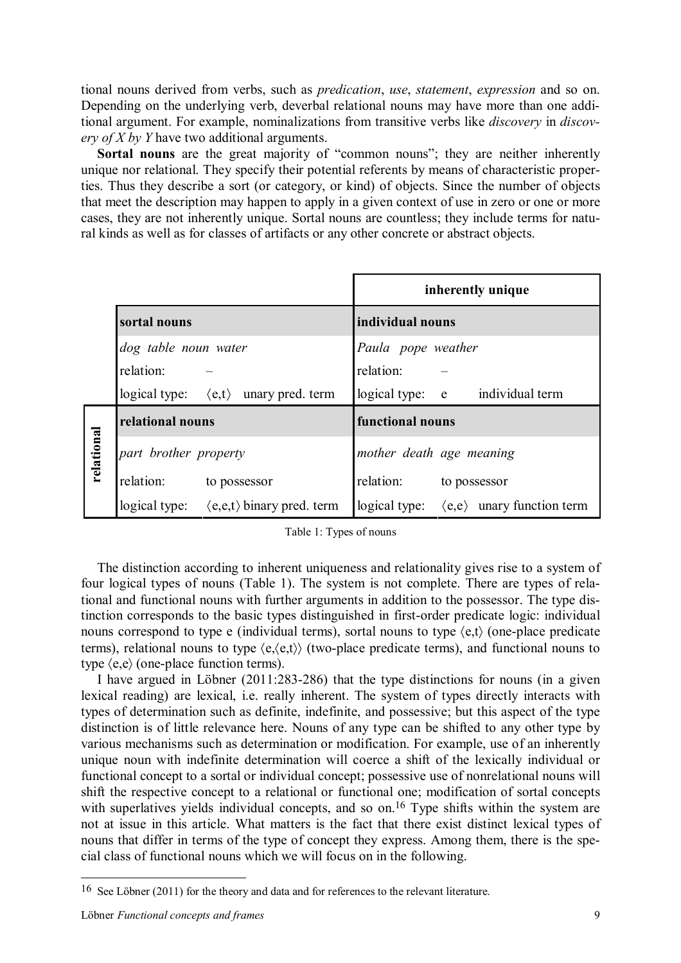tional nouns derived from verbs, such as *predication*, *use*, *statement*, *expression* and so on. Depending on the underlying verb, deverbal relational nouns may have more than one additional argument. For example, nominalizations from transitive verbs like *discovery* in *discovery of X by Y* have two additional arguments.

Sortal **nouns** are the great majority of "common nouns"; they are neither inherently unique nor relational. They specify their potential referents by means of characteristic properties. Thus they describe a sort (or category, or kind) of objects. Since the number of objects that meet the description may happen to apply in a given context of use in zero or one or more cases, they are not inherently unique. Sortal nouns are countless; they include terms for natural kinds as well as for classes of artifacts or any other concrete or abstract objects.

|            |                       |                                                           |                          | inherently unique                                        |
|------------|-----------------------|-----------------------------------------------------------|--------------------------|----------------------------------------------------------|
|            | sortal nouns          |                                                           | individual nouns         |                                                          |
|            | dog table noun water  |                                                           | Paula pope weather       |                                                          |
|            | relation:             |                                                           | relation:                |                                                          |
|            |                       | logical type: $\langle e, t \rangle$ unary pred. term     |                          | logical type: e individual term                          |
| relational | relational nouns      |                                                           | functional nouns         |                                                          |
|            | part brother property |                                                           | mother death age meaning |                                                          |
|            | relation:             | to possessor                                              | relation: to possessor   |                                                          |
|            |                       | logical type: $\langle e, e, t \rangle$ binary pred. term |                          | logical type: $\langle e, e \rangle$ unary function term |

|  |  |  | Table 1: Types of nouns |
|--|--|--|-------------------------|
|--|--|--|-------------------------|

The distinction according to inherent uniqueness and relationality gives rise to a system of four logical types of nouns (Table 1). The system is not complete. There are types of relational and functional nouns with further arguments in addition to the possessor. The type distinction corresponds to the basic types distinguished in first-order predicate logic: individual nouns correspond to type e (individual terms), sortal nouns to type  $\langle e, t \rangle$  (one-place predicate terms), relational nouns to type  $\langle e, \langle e, t \rangle \rangle$  (two-place predicate terms), and functional nouns to type  $\langle e,e \rangle$  (one-place function terms).

I have argued in Löbner (2011:283-286) that the type distinctions for nouns (in a given lexical reading) are lexical, i.e. really inherent. The system of types directly interacts with types of determination such as definite, indefinite, and possessive; but this aspect of the type distinction is of little relevance here. Nouns of any type can be shifted to any other type by various mechanisms such as determination or modification. For example, use of an inherently unique noun with indefinite determination will coerce a shift of the lexically individual or functional concept to a sortal or individual concept; possessive use of nonrelational nouns will shift the respective concept to a relational or functional one; modification of sortal concepts with superlatives yields individual concepts, and so on.<sup>16</sup> Type shifts within the system are not at issue in this article. What matters is the fact that there exist distinct lexical types of nouns that differ in terms of the type of concept they express. Among them, there is the special class of functional nouns which we will focus on in the following.

<sup>16</sup> See Löbner (2011) for the theory and data and for references to the relevant literature.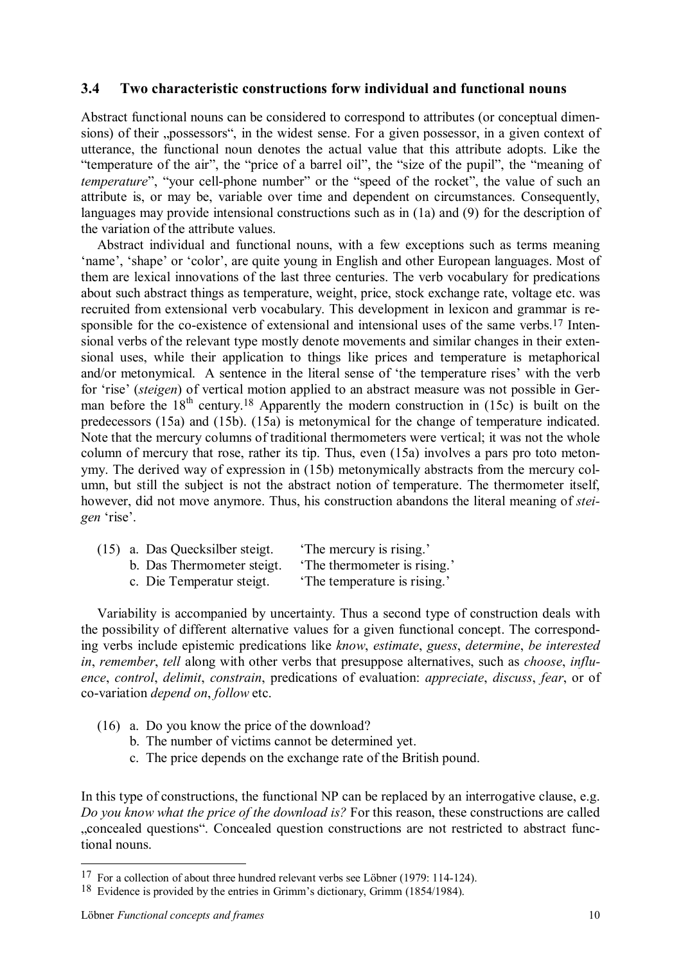## **3.4 Two characteristic constructions forw individual and functional nouns**

Abstract functional nouns can be considered to correspond to attributes (or conceptual dimensions) of their "possessors", in the widest sense. For a given possessor, in a given context of utterance, the functional noun denotes the actual value that this attribute adopts. Like the "temperature of the air", the "price of a barrel oil", the "size of the pupil", the "meaning of *temperature*", "your cell-phone number" or the "speed of the rocket", the value of such an attribute is, or may be, variable over time and dependent on circumstances. Consequently, languages may provide intensional constructions such as in (1a) and (9) for the description of the variation of the attribute values.

Abstract individual and functional nouns, with a few exceptions such as terms meaning 'name', 'shape' or 'color', are quite young in English and other European languages. Most of them are lexical innovations of the last three centuries. The verb vocabulary for predications about such abstract things as temperature, weight, price, stock exchange rate, voltage etc. was recruited from extensional verb vocabulary. This development in lexicon and grammar is responsible for the co-existence of extensional and intensional uses of the same verbs.<sup>17</sup> Intensional verbs of the relevant type mostly denote movements and similar changes in their extensional uses, while their application to things like prices and temperature is metaphorical and/or metonymical. A sentence in the literal sense of 'the temperature rises' with the verb for 'rise' (*steigen*) of vertical motion applied to an abstract measure was not possible in German before the  $18<sup>th</sup>$  century.<sup>18</sup> Apparently the modern construction in (15c) is built on the predecessors (15a) and (15b). (15a) is metonymical for the change of temperature indicated. Note that the mercury columns of traditional thermometers were vertical; it was not the whole column of mercury that rose, rather its tip. Thus, even (15a) involves a pars pro toto metonymy. The derived way of expression in (15b) metonymically abstracts from the mercury column, but still the subject is not the abstract notion of temperature. The thermometer itself, however, did not move anymore. Thus, his construction abandons the literal meaning of *steigen* 'rise'.

|                            | (15) a. Das Quecksilber steigt. | 'The mercury is rising.'   |  |  |
|----------------------------|---------------------------------|----------------------------|--|--|
| b. Das Thermometer steigt. |                                 | The thermometer is rising. |  |  |
|                            |                                 |                            |  |  |

c. Die Temperatur steigt. 'The temperature is rising.'

Variability is accompanied by uncertainty. Thus a second type of construction deals with the possibility of different alternative values for a given functional concept. The corresponding verbs include epistemic predications like *know*, *estimate*, *guess*, *determine*, *be interested in*, *remember*, *tell* along with other verbs that presuppose alternatives, such as *choose*, *influence*, *control*, *delimit*, *constrain*, predications of evaluation: *appreciate*, *discuss*, *fear*, or of co-variation *depend on*, *follow* etc.

- (16) a. Do you know the price of the download?
	- b. The number of victims cannot be determined yet.
	- c. The price depends on the exchange rate of the British pound.

In this type of constructions, the functional NP can be replaced by an interrogative clause, e.g. *Do you know what the price of the download is?* For this reason, these constructions are called "concealed questions". Concealed question constructions are not restricted to abstract functional nouns.

<sup>17</sup> For a collection of about three hundred relevant verbs see Löbner (1979: 114-124).

<sup>&</sup>lt;sup>18</sup> Evidence is provided by the entries in Grimm's dictionary, Grimm (1854/1984).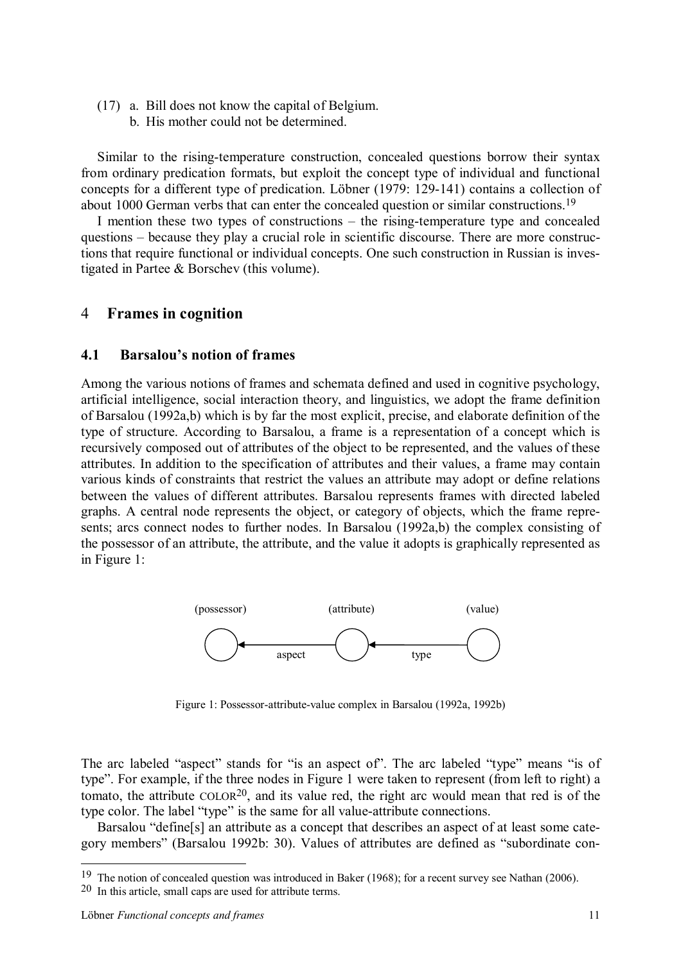- (17) a. Bill does not know the capital of Belgium.
	- b. His mother could not be determined.

Similar to the rising-temperature construction, concealed questions borrow their syntax from ordinary predication formats, but exploit the concept type of individual and functional concepts for a different type of predication. Löbner (1979: 129-141) contains a collection of about 1000 German verbs that can enter the concealed question or similar constructions.19

I mention these two types of constructions – the rising-temperature type and concealed questions – because they play a crucial role in scientific discourse. There are more constructions that require functional or individual concepts. One such construction in Russian is investigated in Partee & Borschev (this volume).

## 4 **Frames in cognition**

#### **4.1 Barsalou's notion of frames**

Among the various notions of frames and schemata defined and used in cognitive psychology, artificial intelligence, social interaction theory, and linguistics, we adopt the frame definition of Barsalou (1992a,b) which is by far the most explicit, precise, and elaborate definition of the type of structure. According to Barsalou, a frame is a representation of a concept which is recursively composed out of attributes of the object to be represented, and the values of these attributes. In addition to the specification of attributes and their values, a frame may contain various kinds of constraints that restrict the values an attribute may adopt or define relations between the values of different attributes. Barsalou represents frames with directed labeled graphs. A central node represents the object, or category of objects, which the frame represents; arcs connect nodes to further nodes. In Barsalou (1992a,b) the complex consisting of the possessor of an attribute, the attribute, and the value it adopts is graphically represented as in Figure 1:



Figure 1: Possessor-attribute-value complex in Barsalou (1992a, 1992b)

The arc labeled "aspect" stands for "is an aspect of". The arc labeled "type" means "is of type". For example, if the three nodes in Figure 1 were taken to represent (from left to right) a tomato, the attribute  $COLOR<sup>20</sup>$ , and its value red, the right arc would mean that red is of the type color. The label "type" is the same for all value-attribute connections.

Barsalou "define[s] an attribute as a concept that describes an aspect of at least some category members" (Barsalou 1992b: 30). Values of attributes are defined as "subordinate con-

<sup>&</sup>lt;sup>19</sup> The notion of concealed question was introduced in Baker (1968); for a recent survey see Nathan (2006).

<sup>20</sup> In this article, small caps are used for attribute terms.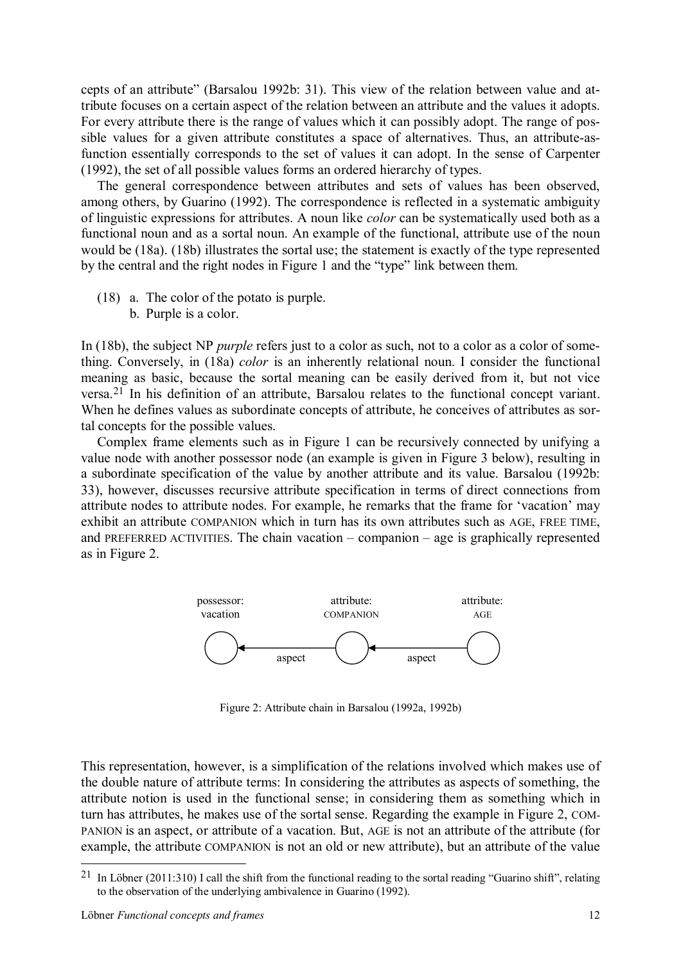cepts of an attribute" (Barsalou 1992b: 31). This view of the relation between value and attribute focuses on a certain aspect of the relation between an attribute and the values it adopts. For every attribute there is the range of values which it can possibly adopt. The range of possible values for a given attribute constitutes a space of alternatives. Thus, an attribute-asfunction essentially corresponds to the set of values it can adopt. In the sense of Carpenter (1992), the set of all possible values forms an ordered hierarchy of types.

The general correspondence between attributes and sets of values has been observed, among others, by Guarino (1992). The correspondence is reflected in a systematic ambiguity of linguistic expressions for attributes. A noun like *color* can be systematically used both as a functional noun and as a sortal noun. An example of the functional, attribute use of the noun would be (18a). (18b) illustrates the sortal use; the statement is exactly of the type represented by the central and the right nodes in Figure 1 and the "type" link between them.

(18) a. The color of the potato is purple.

b. Purple is a color.

In (18b), the subject NP *purple* refers just to a color as such, not to a color as a color of something. Conversely, in (18a) *color* is an inherently relational noun. I consider the functional meaning as basic, because the sortal meaning can be easily derived from it, but not vice versa.21 In his definition of an attribute, Barsalou relates to the functional concept variant. When he defines values as subordinate concepts of attribute, he conceives of attributes as sortal concepts for the possible values.

Complex frame elements such as in Figure 1 can be recursively connected by unifying a value node with another possessor node (an example is given in Figure 3 below), resulting in a subordinate specification of the value by another attribute and its value. Barsalou (1992b: 33), however, discusses recursive attribute specification in terms of direct connections from attribute nodes to attribute nodes. For example, he remarks that the frame for 'vacation' may exhibit an attribute COMPANION which in turn has its own attributes such as AGE, FREE TIME, and PREFERRED ACTIVITIES. The chain vacation – companion – age is graphically represented as in Figure 2.



Figure 2: Attribute chain in Barsalou (1992a, 1992b)

This representation, however, is a simplification of the relations involved which makes use of the double nature of attribute terms: In considering the attributes as aspects of something, the attribute notion is used in the functional sense; in considering them as something which in turn has attributes, he makes use of the sortal sense. Regarding the example in Figure 2, COM-PANION is an aspect, or attribute of a vacation. But, AGE is not an attribute of the attribute (for example, the attribute COMPANION is not an old or new attribute), but an attribute of the value

<sup>&</sup>lt;sup>21</sup> In Löbner (2011:310) I call the shift from the functional reading to the sortal reading "Guarino shift", relating to the observation of the underlying ambivalence in Guarino (1992).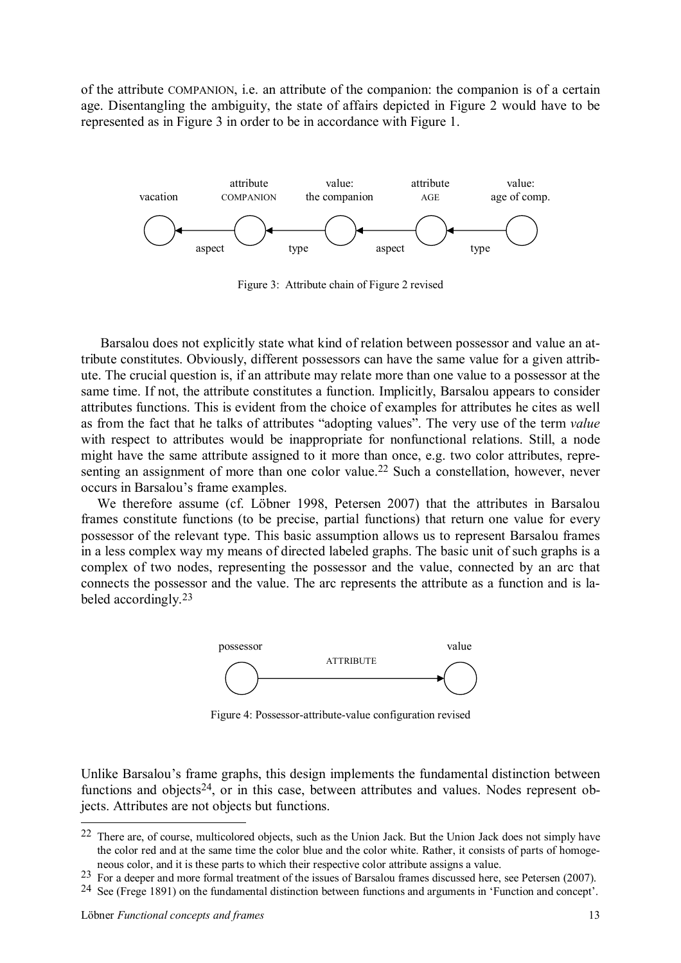of the attribute COMPANION, i.e. an attribute of the companion: the companion is of a certain age. Disentangling the ambiguity, the state of affairs depicted in Figure 2 would have to be represented as in Figure 3 in order to be in accordance with Figure 1.



Figure 3: Attribute chain of Figure 2 revised

Barsalou does not explicitly state what kind of relation between possessor and value an attribute constitutes. Obviously, different possessors can have the same value for a given attribute. The crucial question is, if an attribute may relate more than one value to a possessor at the same time. If not, the attribute constitutes a function. Implicitly, Barsalou appears to consider attributes functions. This is evident from the choice of examples for attributes he cites as well as from the fact that he talks of attributes "adopting values". The very use of the term *value* with respect to attributes would be inappropriate for nonfunctional relations. Still, a node might have the same attribute assigned to it more than once, e.g. two color attributes, representing an assignment of more than one color value.<sup>22</sup> Such a constellation, however, never occurs in Barsalou's frame examples.

We therefore assume (cf. Löbner 1998, Petersen 2007) that the attributes in Barsalou frames constitute functions (to be precise, partial functions) that return one value for every possessor of the relevant type. This basic assumption allows us to represent Barsalou frames in a less complex way my means of directed labeled graphs. The basic unit of such graphs is a complex of two nodes, representing the possessor and the value, connected by an arc that connects the possessor and the value. The arc represents the attribute as a function and is labeled accordingly.23



Figure 4: Possessor-attribute-value configuration revised

Unlike Barsalou's frame graphs, this design implements the fundamental distinction between functions and objects<sup>24</sup>, or in this case, between attributes and values. Nodes represent objects. Attributes are not objects but functions.

<sup>22</sup> There are, of course, multicolored objects, such as the Union Jack. But the Union Jack does not simply have the color red and at the same time the color blue and the color white. Rather, it consists of parts of homogeneous color, and it is these parts to which their respective color attribute assigns a value.

<sup>23</sup> For a deeper and more formal treatment of the issues of Barsalou frames discussed here, see Petersen (2007).

<sup>24</sup> See (Frege 1891) on the fundamental distinction between functions and arguments in 'Function and concept'.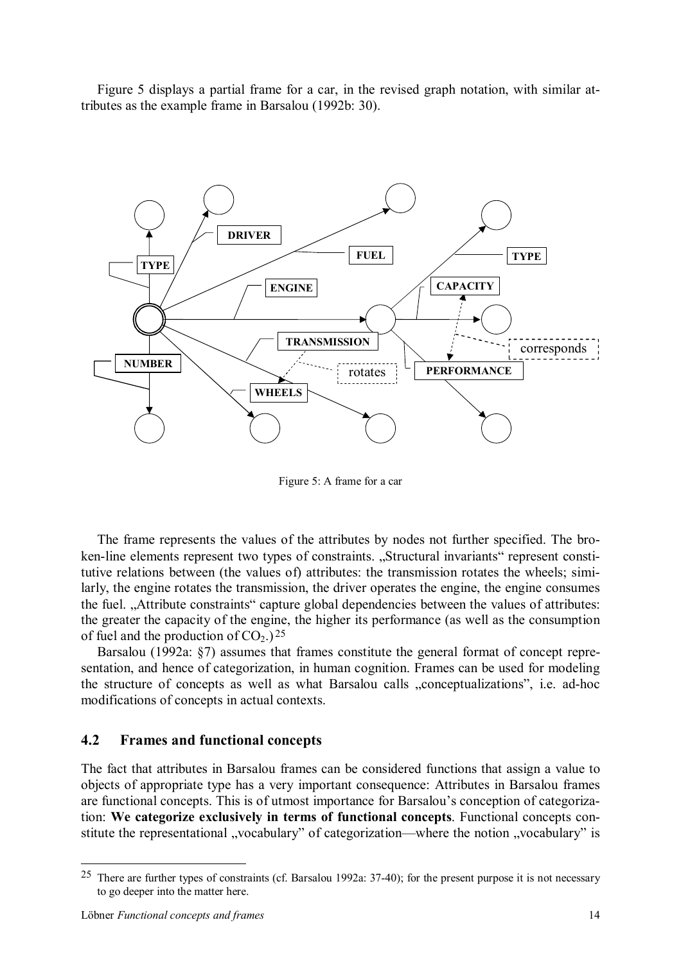Figure 5 displays a partial frame for a car, in the revised graph notation, with similar attributes as the example frame in Barsalou (1992b: 30).



Figure 5: A frame for a car

The frame represents the values of the attributes by nodes not further specified. The broken-line elements represent two types of constraints. "Structural invariants" represent constitutive relations between (the values of) attributes: the transmission rotates the wheels; similarly, the engine rotates the transmission, the driver operates the engine, the engine consumes the fuel. "Attribute constraints" capture global dependencies between the values of attributes: the greater the capacity of the engine, the higher its performance (as well as the consumption of fuel and the production of  $CO<sub>2</sub>$ .)<sup>25</sup>

Barsalou (1992a: §7) assumes that frames constitute the general format of concept representation, and hence of categorization, in human cognition. Frames can be used for modeling the structure of concepts as well as what Barsalou calls "conceptualizations", i.e. ad-hoc modifications of concepts in actual contexts.

#### **4.2 Frames and functional concepts**

The fact that attributes in Barsalou frames can be considered functions that assign a value to objects of appropriate type has a very important consequence: Attributes in Barsalou frames are functional concepts. This is of utmost importance for Barsalou's conception of categorization: **We categorize exclusively in terms of functional concepts**. Functional concepts constitute the representational "vocabulary" of categorization—where the notion "vocabulary" is

<sup>&</sup>lt;sup>25</sup> There are further types of constraints (cf. Barsalou 1992a:  $37-40$ ); for the present purpose it is not necessary to go deeper into the matter here.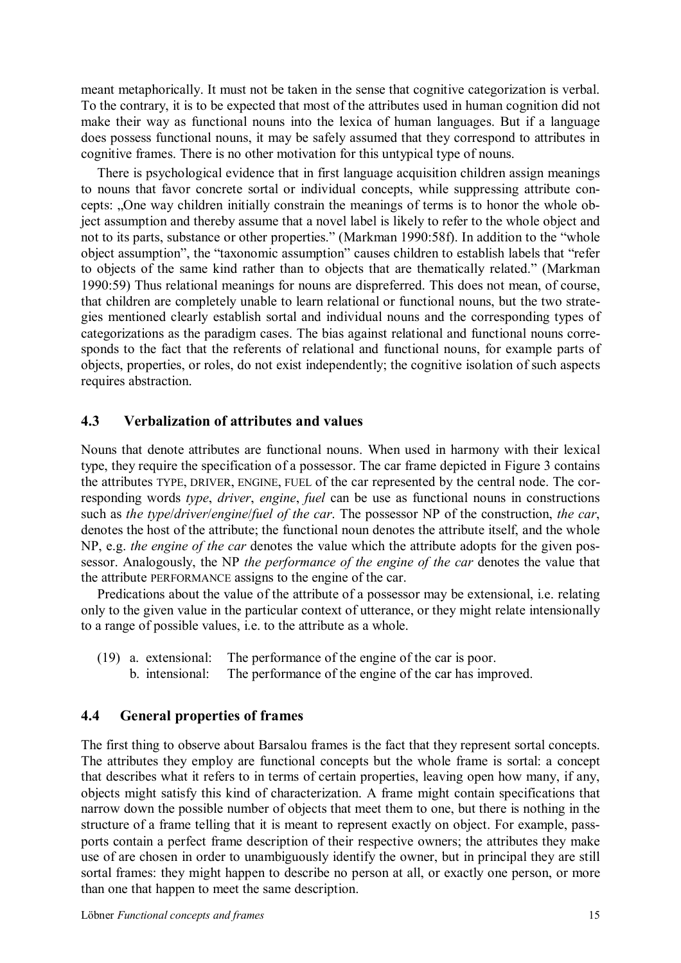meant metaphorically. It must not be taken in the sense that cognitive categorization is verbal. To the contrary, it is to be expected that most of the attributes used in human cognition did not make their way as functional nouns into the lexica of human languages. But if a language does possess functional nouns, it may be safely assumed that they correspond to attributes in cognitive frames. There is no other motivation for this untypical type of nouns.

There is psychological evidence that in first language acquisition children assign meanings to nouns that favor concrete sortal or individual concepts, while suppressing attribute concepts: "One way children initially constrain the meanings of terms is to honor the whole object assumption and thereby assume that a novel label is likely to refer to the whole object and not to its parts, substance or other properties." (Markman 1990:58f). In addition to the "whole object assumption", the "taxonomic assumption" causes children to establish labels that "refer to objects of the same kind rather than to objects that are thematically related." (Markman 1990:59) Thus relational meanings for nouns are dispreferred. This does not mean, of course, that children are completely unable to learn relational or functional nouns, but the two strategies mentioned clearly establish sortal and individual nouns and the corresponding types of categorizations as the paradigm cases. The bias against relational and functional nouns corresponds to the fact that the referents of relational and functional nouns, for example parts of objects, properties, or roles, do not exist independently; the cognitive isolation of such aspects requires abstraction.

## **4.3 Verbalization of attributes and values**

Nouns that denote attributes are functional nouns. When used in harmony with their lexical type, they require the specification of a possessor. The car frame depicted in Figure 3 contains the attributes TYPE, DRIVER, ENGINE, FUEL of the car represented by the central node. The corresponding words *type*, *driver*, *engine*, *fuel* can be use as functional nouns in constructions such as *the type*/*driver*/*engine*/*fuel of the car*. The possessor NP of the construction, *the car*, denotes the host of the attribute; the functional noun denotes the attribute itself, and the whole NP, e.g. *the engine of the car* denotes the value which the attribute adopts for the given possessor. Analogously, the NP *the performance of the engine of the car* denotes the value that the attribute PERFORMANCE assigns to the engine of the car.

Predications about the value of the attribute of a possessor may be extensional, i.e. relating only to the given value in the particular context of utterance, or they might relate intensionally to a range of possible values, i.e. to the attribute as a whole.

- (19) a. extensional: The performance of the engine of the car is poor.
	- b. intensional: The performance of the engine of the car has improved.

# **4.4 General properties of frames**

The first thing to observe about Barsalou frames is the fact that they represent sortal concepts. The attributes they employ are functional concepts but the whole frame is sortal: a concept that describes what it refers to in terms of certain properties, leaving open how many, if any, objects might satisfy this kind of characterization. A frame might contain specifications that narrow down the possible number of objects that meet them to one, but there is nothing in the structure of a frame telling that it is meant to represent exactly on object. For example, passports contain a perfect frame description of their respective owners; the attributes they make use of are chosen in order to unambiguously identify the owner, but in principal they are still sortal frames: they might happen to describe no person at all, or exactly one person, or more than one that happen to meet the same description.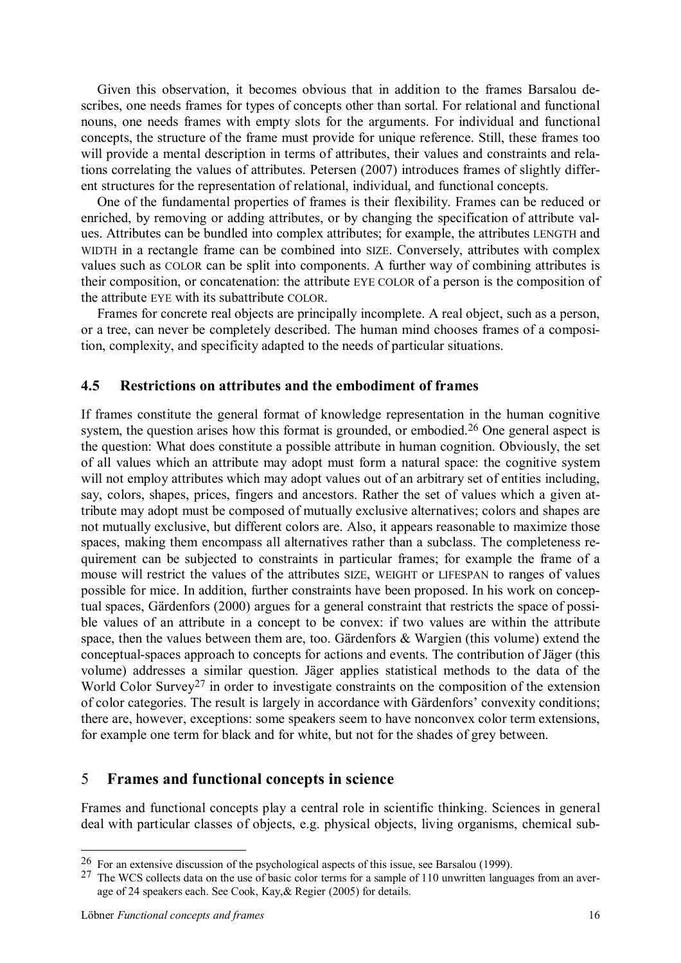Given this observation, it becomes obvious that in addition to the frames Barsalou describes, one needs frames for types of concepts other than sortal. For relational and functional nouns, one needs frames with empty slots for the arguments. For individual and functional concepts, the structure of the frame must provide for unique reference. Still, these frames too will provide a mental description in terms of attributes, their values and constraints and relations correlating the values of attributes. Petersen (2007) introduces frames of slightly different structures for the representation of relational, individual, and functional concepts.

One of the fundamental properties of frames is their flexibility. Frames can be reduced or enriched, by removing or adding attributes, or by changing the specification of attribute values. Attributes can be bundled into complex attributes; for example, the attributes LENGTH and WIDTH in a rectangle frame can be combined into SIZE. Conversely, attributes with complex values such as COLOR can be split into components. A further way of combining attributes is their composition, or concatenation: the attribute EYE COLOR of a person is the composition of the attribute EYE with its subattribute COLOR.

Frames for concrete real objects are principally incomplete. A real object, such as a person, or a tree, can never be completely described. The human mind chooses frames of a composition, complexity, and specificity adapted to the needs of particular situations.

#### **4.5 Restrictions on attributes and the embodiment of frames**

If frames constitute the general format of knowledge representation in the human cognitive system, the question arises how this format is grounded, or embodied.<sup>26</sup> One general aspect is the question: What does constitute a possible attribute in human cognition. Obviously, the set of all values which an attribute may adopt must form a natural space: the cognitive system will not employ attributes which may adopt values out of an arbitrary set of entities including, say, colors, shapes, prices, fingers and ancestors. Rather the set of values which a given attribute may adopt must be composed of mutually exclusive alternatives; colors and shapes are not mutually exclusive, but different colors are. Also, it appears reasonable to maximize those spaces, making them encompass all alternatives rather than a subclass. The completeness requirement can be subjected to constraints in particular frames; for example the frame of a mouse will restrict the values of the attributes SIZE, WEIGHT or LIFESPAN to ranges of values possible for mice. In addition, further constraints have been proposed. In his work on conceptual spaces, Gärdenfors (2000) argues for a general constraint that restricts the space of possible values of an attribute in a concept to be convex: if two values are within the attribute space, then the values between them are, too. Gärdenfors & Wargien (this volume) extend the conceptual-spaces approach to concepts for actions and events. The contribution of Jäger (this volume) addresses a similar question. Jäger applies statistical methods to the data of the World Color Survey<sup>27</sup> in order to investigate constraints on the composition of the extension of color categories. The result is largely in accordance with Gärdenfors' convexity conditions; there are, however, exceptions: some speakers seem to have nonconvex color term extensions, for example one term for black and for white, but not for the shades of grey between.

#### 5 **Frames and functional concepts in science**

Frames and functional concepts play a central role in scientific thinking. Sciences in general deal with particular classes of objects, e.g. physical objects, living organisms, chemical sub-

<sup>26</sup> For an extensive discussion of the psychological aspects of this issue, see Barsalou (1999).

 $27$  The WCS collects data on the use of basic color terms for a sample of 110 unwritten languages from an average of 24 speakers each. See Cook, Kay,& Regier (2005) for details.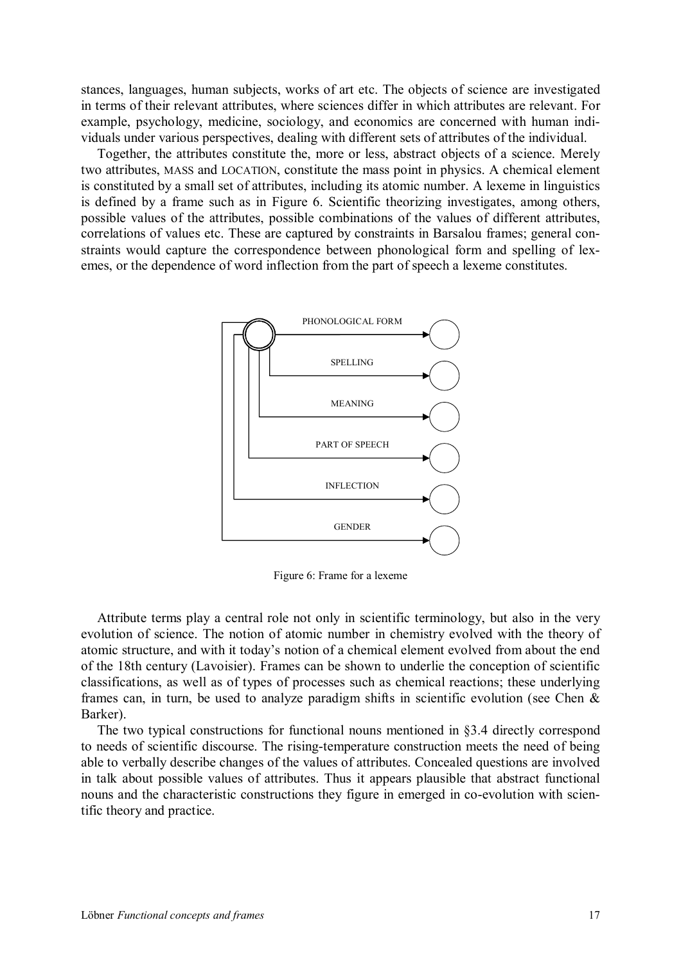stances, languages, human subjects, works of art etc. The objects of science are investigated in terms of their relevant attributes, where sciences differ in which attributes are relevant. For example, psychology, medicine, sociology, and economics are concerned with human individuals under various perspectives, dealing with different sets of attributes of the individual.

Together, the attributes constitute the, more or less, abstract objects of a science. Merely two attributes, MASS and LOCATION, constitute the mass point in physics. A chemical element is constituted by a small set of attributes, including its atomic number. A lexeme in linguistics is defined by a frame such as in Figure 6. Scientific theorizing investigates, among others, possible values of the attributes, possible combinations of the values of different attributes, correlations of values etc. These are captured by constraints in Barsalou frames; general constraints would capture the correspondence between phonological form and spelling of lexemes, or the dependence of word inflection from the part of speech a lexeme constitutes.



Figure 6: Frame for a lexeme

Attribute terms play a central role not only in scientific terminology, but also in the very evolution of science. The notion of atomic number in chemistry evolved with the theory of atomic structure, and with it today's notion of a chemical element evolved from about the end of the 18th century (Lavoisier). Frames can be shown to underlie the conception of scientific classifications, as well as of types of processes such as chemical reactions; these underlying frames can, in turn, be used to analyze paradigm shifts in scientific evolution (see Chen & Barker).

The two typical constructions for functional nouns mentioned in §3.4 directly correspond to needs of scientific discourse. The rising-temperature construction meets the need of being able to verbally describe changes of the values of attributes. Concealed questions are involved in talk about possible values of attributes. Thus it appears plausible that abstract functional nouns and the characteristic constructions they figure in emerged in co-evolution with scientific theory and practice.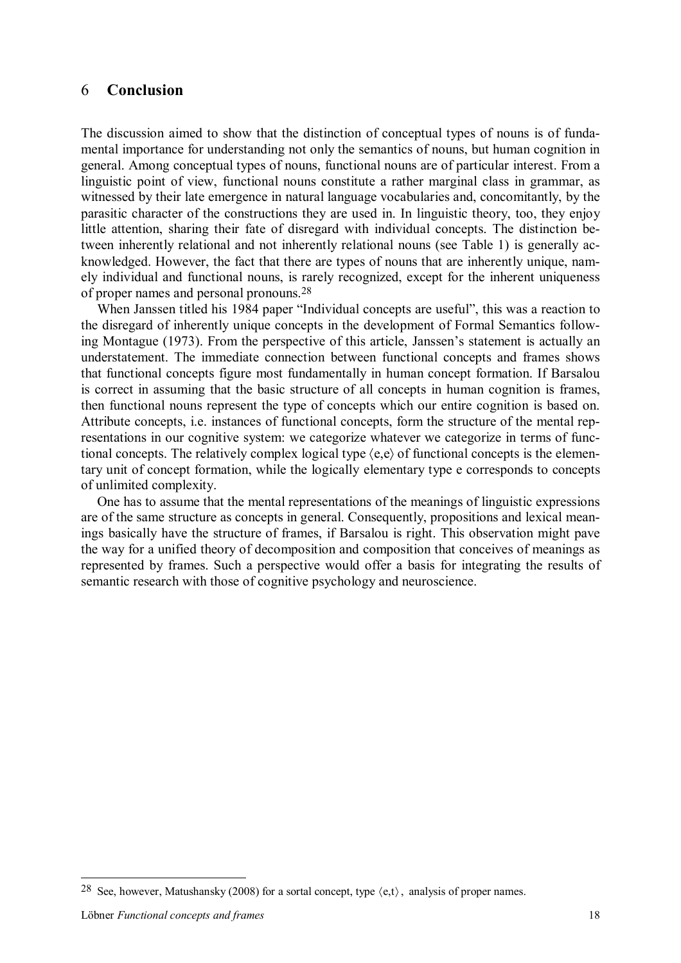## 6 **Conclusion**

The discussion aimed to show that the distinction of conceptual types of nouns is of fundamental importance for understanding not only the semantics of nouns, but human cognition in general. Among conceptual types of nouns, functional nouns are of particular interest. From a linguistic point of view, functional nouns constitute a rather marginal class in grammar, as witnessed by their late emergence in natural language vocabularies and, concomitantly, by the parasitic character of the constructions they are used in. In linguistic theory, too, they enjoy little attention, sharing their fate of disregard with individual concepts. The distinction between inherently relational and not inherently relational nouns (see Table 1) is generally acknowledged. However, the fact that there are types of nouns that are inherently unique, namely individual and functional nouns, is rarely recognized, except for the inherent uniqueness of proper names and personal pronouns.28

When Janssen titled his 1984 paper "Individual concepts are useful", this was a reaction to the disregard of inherently unique concepts in the development of Formal Semantics following Montague (1973). From the perspective of this article, Janssen's statement is actually an understatement. The immediate connection between functional concepts and frames shows that functional concepts figure most fundamentally in human concept formation. If Barsalou is correct in assuming that the basic structure of all concepts in human cognition is frames, then functional nouns represent the type of concepts which our entire cognition is based on. Attribute concepts, i.e. instances of functional concepts, form the structure of the mental representations in our cognitive system: we categorize whatever we categorize in terms of functional concepts. The relatively complex logical type  $\langle e, e \rangle$  of functional concepts is the elementary unit of concept formation, while the logically elementary type e corresponds to concepts of unlimited complexity.

One has to assume that the mental representations of the meanings of linguistic expressions are of the same structure as concepts in general. Consequently, propositions and lexical meanings basically have the structure of frames, if Barsalou is right. This observation might pave the way for a unified theory of decomposition and composition that conceives of meanings as represented by frames. Such a perspective would offer a basis for integrating the results of semantic research with those of cognitive psychology and neuroscience.

<sup>&</sup>lt;sup>28</sup> See, however, Matushansky (2008) for a sortal concept, type  $\langle e, t \rangle$ , analysis of proper names.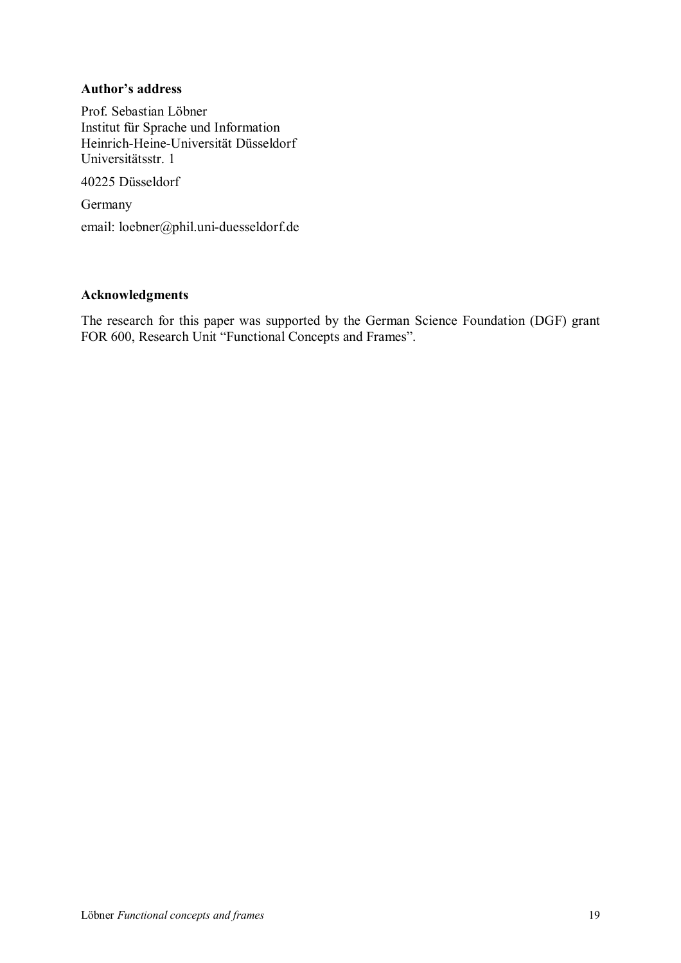#### **Author's address**

Prof. Sebastian Löbner Institut für Sprache und Information Heinrich-Heine-Universität Düsseldorf Universitätsstr. 1

40225 Düsseldorf

Germany

email: loebner@phil.uni-duesseldorf.de

#### **Acknowledgments**

The research for this paper was supported by the German Science Foundation (DGF) grant FOR 600, Research Unit "Functional Concepts and Frames".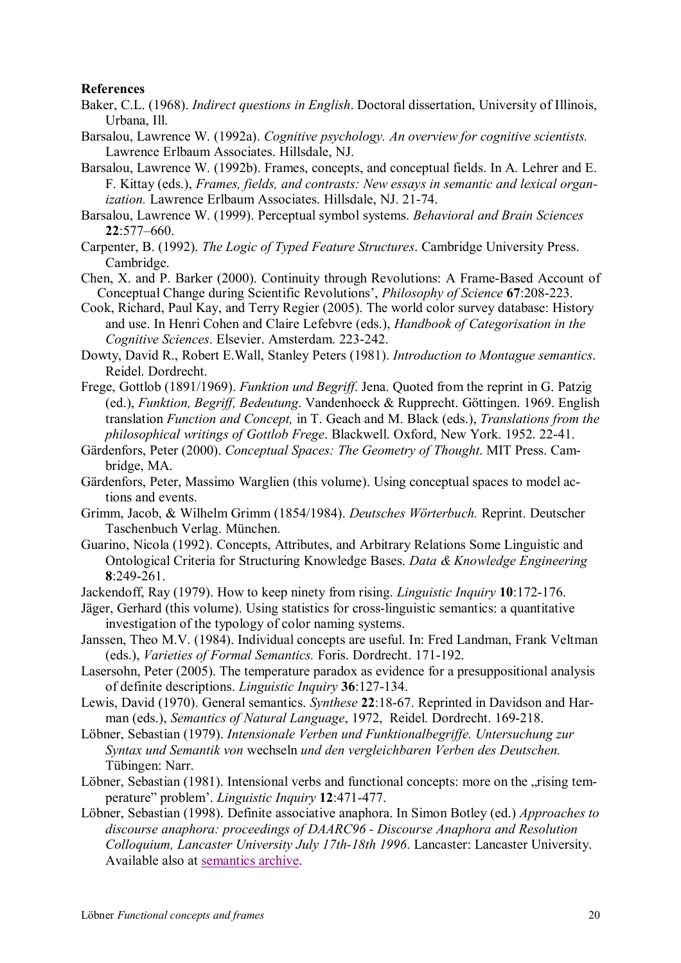#### **References**

- Baker, C.L. (1968). *Indirect questions in English*. Doctoral dissertation, University of Illinois, Urbana, Ill.
- Barsalou, Lawrence W. (1992a). *Cognitive psychology. An overview for cognitive scientists.* Lawrence Erlbaum Associates. Hillsdale, NJ.
- Barsalou, Lawrence W. (1992b). Frames, concepts, and conceptual fields. In A. Lehrer and E. F. Kittay (eds.), *Frames, fields, and contrasts: New essays in semantic and lexical organization.* Lawrence Erlbaum Associates. Hillsdale, NJ. 21-74.
- Barsalou, Lawrence W. (1999). Perceptual symbol systems. *Behavioral and Brain Sciences*  **22**:577–660.
- Carpenter, B. (1992). *The Logic of Typed Feature Structures*. Cambridge University Press. Cambridge.
- Chen, X. and P. Barker (2000). Continuity through Revolutions: A Frame-Based Account of Conceptual Change during Scientific Revolutions', *Philosophy of Science* **67**:208-223.
- Cook, Richard, Paul Kay, and Terry Regier (2005). The world color survey database: History and use. In Henri Cohen and Claire Lefebvre (eds.), *Handbook of Categorisation in the Cognitive Sciences*. Elsevier. Amsterdam. 223-242.
- Dowty, David R., Robert E.Wall, Stanley Peters (1981). *Introduction to Montague semantics*. Reidel. Dordrecht.
- Frege, Gottlob (1891/1969). *Funktion und Begriff*. Jena. Quoted from the reprint in G. Patzig (ed.), *Funktion, Begriff, Bedeutung*. Vandenhoeck & Rupprecht. Göttingen. 1969. English translation *Function and Concept,* in T. Geach and M. Black (eds.), *Translations from the philosophical writings of Gottlob Frege*. Blackwell. Oxford, New York. 1952. 22-41.
- Gärdenfors, Peter (2000). *Conceptual Spaces: The Geometry of Thought*. MIT Press. Cambridge, MA.
- Gärdenfors, Peter, Massimo Warglien (this volume). Using conceptual spaces to model actions and events.
- Grimm, Jacob, & Wilhelm Grimm (1854/1984). *Deutsches Wörterbuch.* Reprint. Deutscher Taschenbuch Verlag. München.
- Guarino, Nicola (1992). Concepts, Attributes, and Arbitrary Relations Some Linguistic and Ontological Criteria for Structuring Knowledge Bases. *Data & Knowledge Engineering* **8**:249-261.
- Jackendoff, Ray (1979). How to keep ninety from rising. *Linguistic Inquiry* **10**:172-176.
- Jäger, Gerhard (this volume). Using statistics for cross-linguistic semantics: a quantitative investigation of the typology of color naming systems.
- Janssen, Theo M.V. (1984). Individual concepts are useful. In: Fred Landman, Frank Veltman (eds.), *Varieties of Formal Semantics.* Foris. Dordrecht. 171-192.
- Lasersohn, Peter (2005). The temperature paradox as evidence for a presuppositional analysis of definite descriptions. *Linguistic Inquiry* **36**:127-134.
- Lewis, David (1970). General semantics. *Synthese* **22**:18-67. Reprinted in Davidson and Harman (eds.), *Semantics of Natural Language*, 1972, Reidel. Dordrecht. 169-218.
- Löbner, Sebastian (1979). *Intensionale Verben und Funktionalbegriffe. Untersuchung zur Syntax und Semantik von* wechseln *und den vergleichbaren Verben des Deutschen.*  Tübingen: Narr.
- Löbner, Sebastian (1981). Intensional verbs and functional concepts: more on the "rising temperature" problem'. *Linguistic Inquiry* **12**:471-477.
- Löbner, Sebastian (1998). Definite associative anaphora. In Simon Botley (ed.) *Approaches to discourse anaphora: proceedings of DAARC96 - Discourse Anaphora and Resolution Colloquium, Lancaster University July 17th-18th 1996*. Lancaster: Lancaster University. Available also at semantics archive.